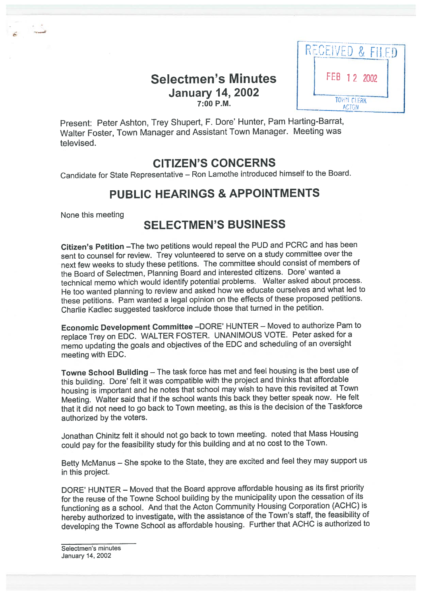# Selectmen's Minutes | FEB 12 2002 January 14, 2002



Present: Peter Ashton, Trey Shupert, F. Dore' Hunter, Pam Harting-Barrat, Walter Foster, Town Manager and Assistant Town Manager. Meeting was televised.

# CITIZEN'S CONCERNS

Candidate for State Representative — Ron Lamothe introduced himself to the Board.

# PUBLIC HEARINGS & APPOINTMENTS

None this meeting

# SELECTMEN'S BUSINESS

Citizen's Petition —The two petitions would repea<sup>l</sup> the PUD and PCRC and has been sent to counsel for review. Trey volunteered to serve on <sup>a</sup> study committee over the next few weeks to study these petitions. The committee should consist of members of the Board of Selectmen, Planning Board and interested citizens. Dore' wanted <sup>a</sup> technical memo which would identify potential problems. Walter asked about process. He too wanted <sup>p</sup>lanning to review and asked how we educate ourselves and what led to these petitions. Pam wanted <sup>a</sup> legal opinion on the effects of these propose<sup>d</sup> petitions. Charlie Kadlec suggested taskforce include those that turned in the petition.

Economic Development Committee —DORE' HUNTER — Moved to authorize Pam to replace Trey on EDC. WALTER FOSTER. UNANIMOUS VOTE. Peter asked for <sup>a</sup> memo updating the goals and objectives of the EDC and scheduling of an oversight meeting with EDC.

Towne School Building — The task force has met and feel housing is the best use of this building. Dore' felt it was compatible with the project and thinks that affordable housing is important and he notes that school may wish to have this revisited at Town Meeting. Walter said that if the school wants this back they better spea<sup>k</sup> now. He felt that it did not need to go back to Town meeting, as this is the decision of the Taskforce authorized by the voters.

Jonathan Chinitz felt it should not go back to town meeting. noted that Mass Housing could pay for the feasibility study for this building and at no cost to the Town.

Betty McManus — She spoke to the State, they are excited and feel they may suppor<sup>t</sup> us in this project.

DORE' HUNTER — Moved that the Board approve affordable housing as its first priority for the reuse of the Towne School building by the municipality upon the cessation of its functioning as <sup>a</sup> school. And that the Acton Community Housing Corporation (ACHC) is hereby authorized to investigate, with the assistance of the Town's staff, the feasibility of developing the Towne School as affordable housing. Further that ACHC is authorized to

Selectmen's minutes January 14, 2002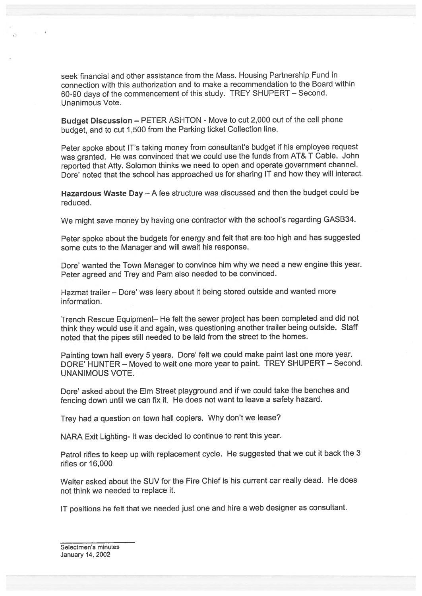seek financial and other assistance from the Mass. Housing Partnership Fund in connection with this authorization and to make <sup>a</sup> recommendation to the Board within 60-90 days of the commencement of this study. TREY SHUPERT — Second. Unanimous Vote.

Budget Discussion – PETER ASHTON - Move to cut 2,000 out of the cell phone budget, and to cut 1,500 from the Parking ticket Collection line.

Peter spoke about IT's taking money from consultant's budget if his employee reques<sup>t</sup> was granted. He was convinced that we could use the funds from AT& <sup>T</sup> Cable. John reported that Atty. Solomon thinks we need to open and operate governmen<sup>t</sup> channel. Dore' noted that the school has approached us for sharing IT and how they will interact.

Hazardous Waste Day — <sup>A</sup> fee structure was discussed and then the budget could be reduced.

We might save money by having one contractor with the school's regarding GASB34.

Peter spoke about the budgets for energy and felt that are too high and has suggested some cuts to the Manager and will await his response.

Dore' wanted the Town Manager to convince him why we need a new engine this year. Peter agree<sup>d</sup> and Trey and Pam also needed to be convinced.

Hazmat trailer - Dore' was leery about it being stored outside and wanted more information.

Trench Rescue Equipment— He felt the sewer project has been completed and did not think they would use it and again, was questioning another trailer being outside. Staff noted that the <sup>p</sup>ipes still needed to be laid from the street to the homes.

Painting town hall every 5 years. Dore' felt we could make paint last one more year. DORE' HUNTER — Moved to wait one more year to paint. TREY SHUPERT — Second. UNANIMOUS VOTE.

Dore' asked about the Elm Street playground and if we could take the benches and fencing down until we can fix it. He does not want to leave <sup>a</sup> safety hazard.

Trey had <sup>a</sup> question on town hall copiers. Why don't we lease?

NARA Exit Lighting- It was decided to continue to rent this year.

Patrol rifles to keep up with replacement cycle. He suggested that we cut it back the <sup>3</sup> rifles or 16,000

Walter asked about the SUV for the Fire Chief is his current car really dead. He does not think we needed to replace it.

IT positions he felt that we needed just one and hire <sup>a</sup> web designer as consultant.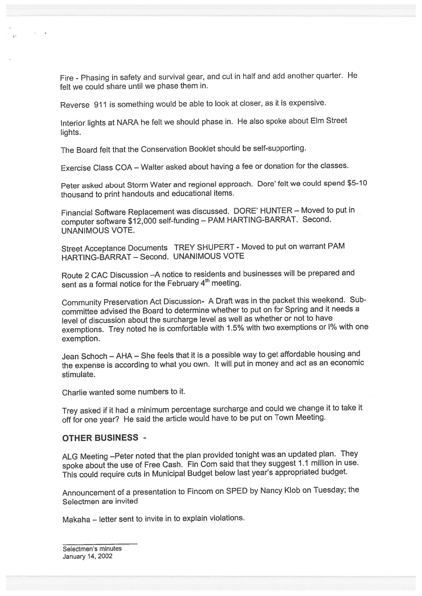Fire - Phasing in safety and survival gear, and cut in half and add another quarter. He felt we could share until we phase them in.

Reverse <sup>911</sup> is something would be able to look at closer, as it is expensive.

Interior lights at NARA he felt we should <sup>p</sup>hase in. He also spoke about Elm Street lights.

The Board felt that the Conservation Booklet should be self-supporting.

Exercise Class COA — Walter asked about having <sup>a</sup> fee or donation for the classes.

Peter asked about Storm Water and regional approach. Dore' felt we could spend \$5-10 thousand to print handouts and educational items.

Financial Software Replacement was discussed. DORE' HUNTER — Moved to pu<sup>t</sup> in computer software \$12,000 self-funding — PAM HARTING-BARRAT. Second. UNANIMOUS VOTE.

Street Acceptance Documents TREY SHUPERT - Moved to put on warrant PAM HARTING-BARRAT — Second. UNANIMOUS VOTE

Route <sup>2</sup> CAC Discussion —A notice to residents and businesses will be prepare<sup>d</sup> and sent as a formal notice for the February 4<sup>th</sup> meeting.

Community Preservation Act Discussion- <sup>A</sup> Draft was in the packet this weekend. Sub committee advised the Board to determine whether to pu<sup>t</sup> on for Spring and it needs <sup>a</sup> level of discussion about the surcharge level as well as whether or not to have exemptions. Trey noted he is comfortable with 1.5% with two exemptions or 1% with one exemption.

Jean Schoch — AHA — She feels that it is <sup>a</sup> possible way to ge<sup>t</sup> affordable housing and the expense is according to what you own. It will pu<sup>t</sup> in money and act as an economic stimulate.

Charlie wanted some numbers to it.

Trey asked if it had <sup>a</sup> minimum percentage surcharge and could we change it to take it off for one year? He said the article would have to be pu<sup>t</sup> on Town Meeting.

#### OTHER BUSINESS -

ALG Meeting —Peter noted that the <sup>p</sup>lan provided tonight was an updated <sup>p</sup>lan. They spoke about the use of Free Cash. Fin Com said that they suggest 1.1 million in use. This could require cuts in Municipal Budget below last year's appropriated budget.

Announcement of <sup>a</sup> presentation to Fincom on SPED by Nancy Kiob on Tuesday; the Selectmen are invited

Makaha — letter sent to invite in to explain violations.

Selectmen's minutes January 14, 2002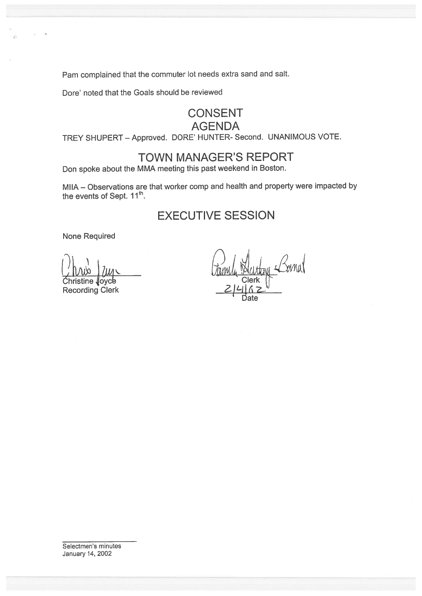Pam complained that the commuter lot needs extra sand and salt.

Dore' noted that the Goals should be reviewed

### **CONSENT AGENDA**

TREY SHUPERT - Approved. DORE' HUNTER- Second. UNANIMOUS VOTE.

## **TOWN MANAGER'S REPORT**

Don spoke about the MMA meeting this past weekend in Boston.

MIIA - Observations are that worker comp and health and property were impacted by the events of Sept. 11<sup>th</sup>.

# **EXECUTIVE SESSION**

**None Required** 

loyce ine **Recording Clerk** 

Selectmen's minutes January 14, 2002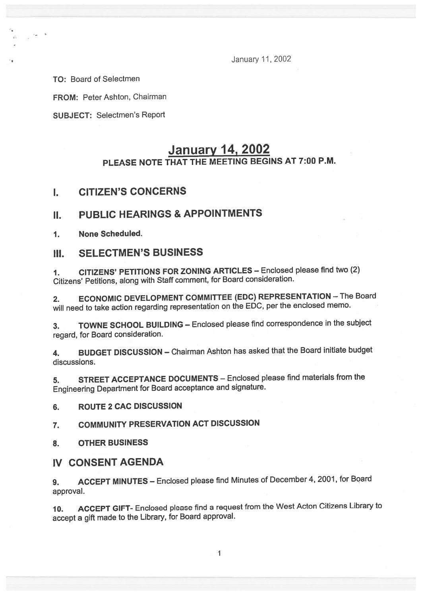January 11,2002

TO: Board of Selectmen

FROM: Peter Ashton, Chairman

SUBJECT: Selectmen's Report

# January 14, 2002 PLEASE NOTE THAT THE MEETING BEGINS AT 7:00 PM.

### I. CITIZEN'S CONCERNS

### II. PUBLIC HEARINGS & APPOINTMENTS

1. None Scheduled.

### III. SELECTMEN'S BUSINESS

1. CITIZENS' PETITIONS FOR ZONING ARTICLES — Enclosed <sup>p</sup>lease find two (2) Citizens' Petitions, along with Staff comment, for Board consideration.

2. ECONOMIC DEVELOPMENT COMMITTEE (EDC) REPRESENTATION — The Board will need to take action regarding representation on the EDC, per the enclosed memo.

3. TOWNE SCHOOL BUILDING — Enclosed <sup>p</sup>lease find correspondence in the subject regard, for Board consideration.

4. BUDGET DISCUSSION — Chairman Ashton has asked that the Board initiate budget discussions.

5. STREET ACCEPTANCE DOCUMENTS — Enclosed <sup>p</sup>lease find materials from the Engineering Department for Board acceptance and signature.

#### 6. ROUTE 2 CAC DISCUSSION

7. COMMUNITY PRESERVATION ACT DISCUSSION

8. OTHER BUSINESS

### IV CONSENT AGENDA

9. ACCEPT MINUTES - Enclosed please find Minutes of December 4, 2001, for Board approval.

10. ACCEPT GIFT- Enclosed <sup>p</sup>lease find <sup>a</sup> reques<sup>t</sup> from the West Acton Citizens Library to accep<sup>t</sup> <sup>a</sup> <sup>g</sup>ift made to the Library, for Board approval.

1